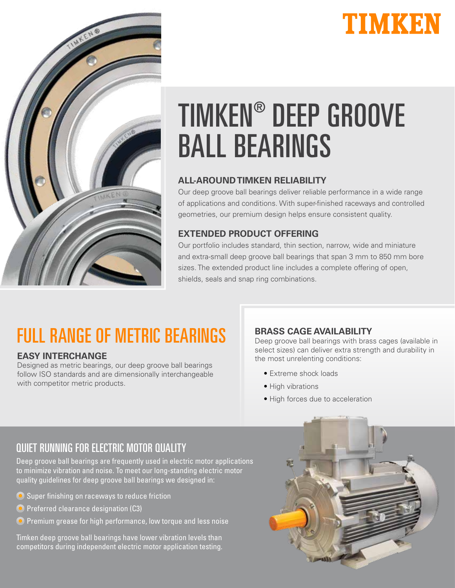



#### **ALL-AROUND TIMKEN RELIABILITY**

Our deep groove ball bearings deliver reliable performance in a wide range of applications and conditions. With super-finished raceways and controlled geometries, our premium design helps ensure consistent quality.

### **EXTENDED PRODUCT OFFERING**

Our portfolio includes standard, thin section, narrow, wide and miniature and extra-small deep groove ball bearings that span 3 mm to 850 mm bore sizes. The extended product line includes a complete offering of open, shields, seals and snap ring combinations.

# **FULL RANGE OF METRIC BEARINGS BRASS CAGE AVAILABILITY**

#### **EASY INTERCHANGE**

Designed as metric bearings, our deep groove ball bearings follow ISO standards and are dimensionally interchangeable with competitor metric products.

Deep groove ball bearings with brass cages (available in select sizes) can deliver extra strength and durability in the most unrelenting conditions:

- Extreme shock loads
- High vibrations
- High forces due to acceleration

## QUIET RUNNING FOR ELECTRIC MOTOR QUALITY

Deep groove ball bearings are frequently used in electric motor applications to minimize vibration and noise. To meet our long-standing electric motor quality guidelines for deep groove ball bearings we designed in:

- O Super finishing on raceways to reduce friction
- **O** Preferred clearance designation (C3)
- **Premium grease for high performance, low torque and less noise**

Timken deep groove ball bearings have lower vibration levels than competitors during independent electric motor application testing.